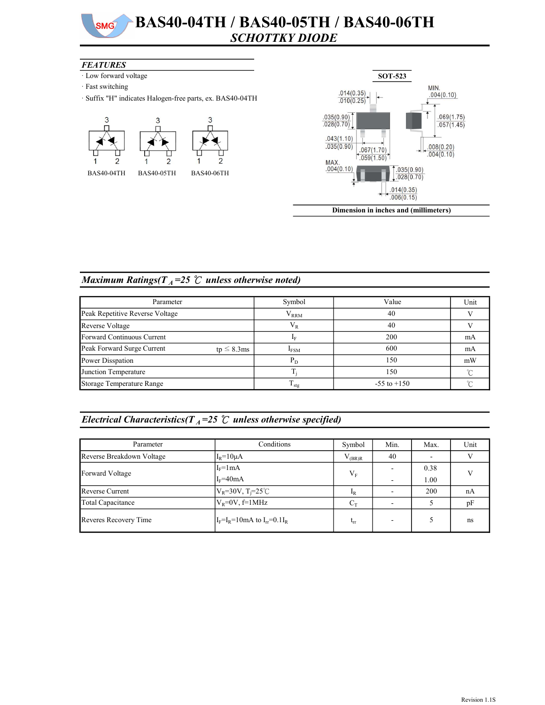#### BAS40-04TH / BAS40-05TH / BAS40-06TH  $SMG$ SCHOTTKY DIODE

#### **FEATURES**

- · Low forward voltage
- · Fast switching
- · Suffix "H" indicates Halogen-free parts, ex. BAS40-04TH





Dimension in inches and (millimeters)

# Maximum Ratings( $T_A$ =25 °C unless otherwise noted)

| Parameter                                      | Symbol            | Value           | Unit   |
|------------------------------------------------|-------------------|-----------------|--------|
| Peak Repetitive Reverse Voltage                | $V_{RRM}$         | 40              |        |
| Reverse Voltage                                | $\rm V_R$         | 40              |        |
| Forward Continuous Current                     |                   | 200             | mA     |
| Peak Forward Surge Current<br>tp $\leq 8.3$ ms | $I_{FSM}$         | 600             | mA     |
| Power Disspation                               | $P_D$             | 150             | mW     |
| Junction Temperature                           |                   | 150             | $\sim$ |
| Storage Temperature Range                      | $\frac{1}{1}$ stg | $-55$ to $+150$ |        |

## Electrical Characteristics( $T_A$ =25  $\degree$  unless otherwise specified)

| Parameter                 | Conditions                                | Symbol   | Min. | Max. | Unit      |
|---------------------------|-------------------------------------------|----------|------|------|-----------|
| Reverse Breakdown Voltage | $IR=10\mu A$                              | (BR)R    | 40   |      |           |
| Forward Voltage           | $I_F = 1 mA$                              | $V_F$    |      | 0.38 |           |
|                           | $I_F = 40mA$                              |          |      | 1.00 |           |
| Reverse Current           | $V_R = 30V, T_i = 25^{\circ}C$            | $I_R$    |      | 200  | nA        |
| Total Capacitance         | $V_R = 0V$ , f=1MHz                       | $C_T$    |      |      | pF        |
| Reveres Recovery Time     | $I_F = I_R = 10$ mA to $I_{rr} = 0.1 I_R$ | $L_{rr}$ |      |      | <b>ns</b> |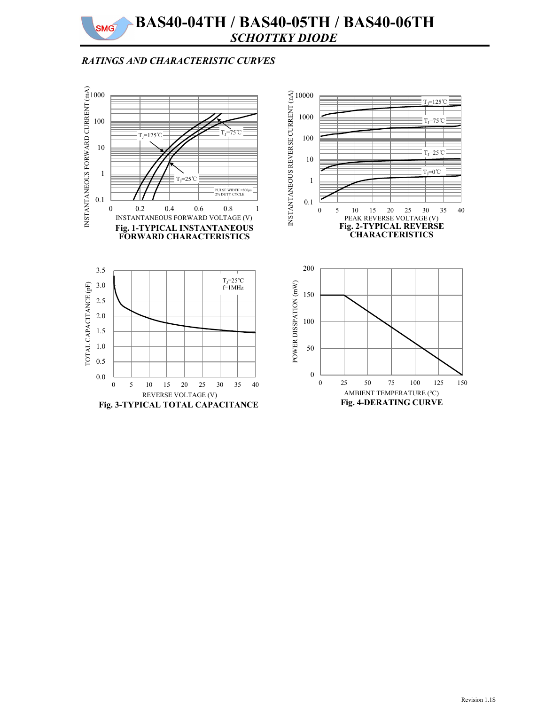# RATINGS AND CHARACTERISTIC CURVES

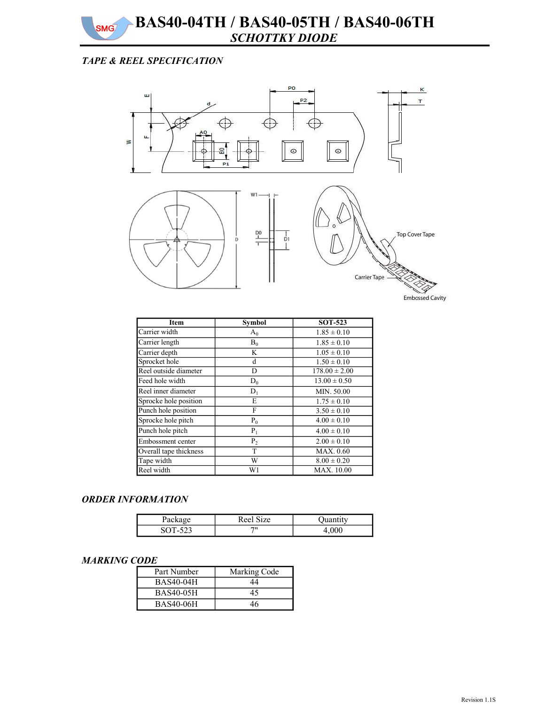BAS40-04TH / BAS40-05TH / BAS40-06TH SCHOTTKY DIODE

## TAPE & REEL SPECIFICATION

**SMG** 



| Item                   | <b>Symbol</b> | <b>SOT-523</b>    |
|------------------------|---------------|-------------------|
| Carrier width          | $A_0$         | $1.85 \pm 0.10$   |
| Carrier length         | $B_0$         | $1.85 \pm 0.10$   |
| Carrier depth          | K             | $1.05 \pm 0.10$   |
| Sprocket hole          | d             | $1.50 \pm 0.10$   |
| Reel outside diameter  | D             | $178.00 \pm 2.00$ |
| Feed hole width        | $D_0$         | $13.00 \pm 0.50$  |
| Reel inner diameter    | $D_1$         | MIN. 50.00        |
| Sprocke hole position  | E             | $1.75 \pm 0.10$   |
| Punch hole position    | F             | $3.50 \pm 0.10$   |
| Sprocke hole pitch     | $P_0$         | $4.00 \pm 0.10$   |
| Punch hole pitch       | $P_1$         | $4.00 \pm 0.10$   |
| Embossment center      | $P_2$         | $2.00 \pm 0.10$   |
| Overall tape thickness | T             | MAX. 0.60         |
| Tape width             | W             | $8.00 \pm 0.20$   |
| Reel width             | W1            | <b>MAX.</b> 10.00 |

#### ORDER INFORMATION

| $\sim$ $\alpha$<br>Package | Reel Size |  |
|----------------------------|-----------|--|
|                            | 711       |  |

### MARKING CODE

| Part Number      | Marking Code |
|------------------|--------------|
| <b>BAS40-04H</b> | 44           |
| <b>BAS40-05H</b> | 45           |
| <b>BAS40-06H</b> | 46           |